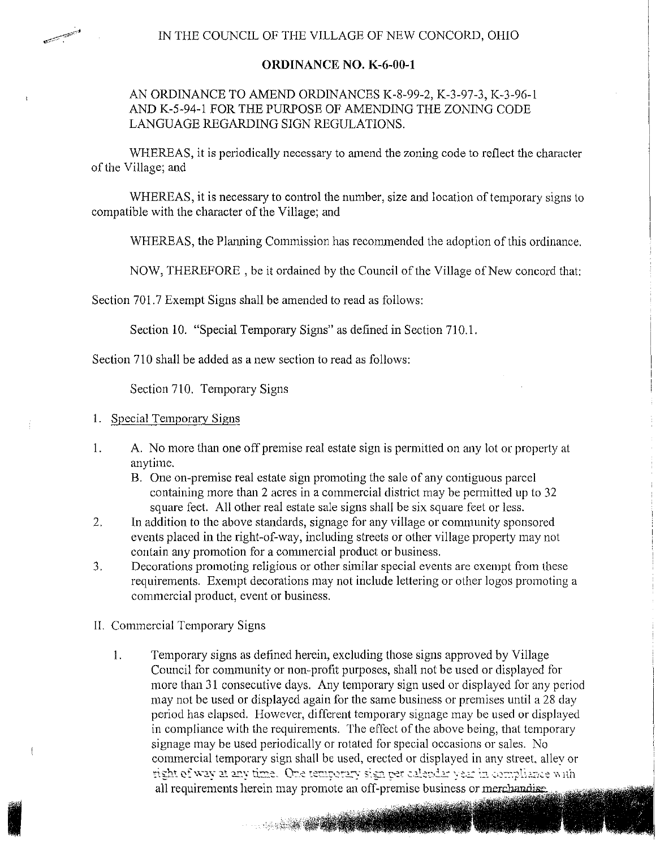## **ORDINANCE** NO. **K-6-00-1**

## AN ORDINANCE TO AMEND ORDINANCES K-8-99-2, K-3-97-3, K-3-96-1 AND K-5-94-1 FOR THE PURPOSE OF AMENDING THE ZONING CODE LANGUAGE REGARDING SIGN REGULATIONS.

WHEREAS, it is periodically necessary to amend the zoning code to reflect the character of the Village; and

WHEREAS, it is necessary to control the number, size and location of temporary signs to compatible with the character of the Village; and

WHEREAS, the Planning Commission has recommended the adoption of this ordinance.

NOW, THEREFORE , be it ordained by the Council of the Village of New concord that:

Section 701.7 Exempt Signs shall be amended to read as follows:

Section 10. "Special Temporary Signs" as defined in Section 710.1.

Section 710 shall be added as a new section to read as follows:

Section 710. Temporary Signs

1. Special Temporary Signs

- 1. A. No more than one off premise real estate sign is permitted on any lot or property at anytime.
	- B. One on-premise real estate sign promoting the sale of any contiguous parcel containing more than 2 acres in a commercial district may be permitted up to 32 square feet. All other real estate sale signs shall be six square feet or less.
- 2. In addition to the above standards, signage for any village or community sponsored events placed in the right-of-way, including streets or other village property may not contain any promotion for a commercial product or business.
- 3. Decorations promoting religious or other similar special events are exempt from these requirements. Exempt decorations may not include lettering or other logos promoting a commercial product, event or business.
- II. Commercial Temporary Signs

I

1. Temporary signs as defined herein, excluding those signs approved by Village Council for community or non-profit purposes, shall not be used or displayed for more than 31 consecutive days. Any temporary sign used or displayed for any period may not be used or displayed again for the same business or premises until a 28 day period has elapsed. However, different temporary signage may be used or displayed in compliance with the requirements. The effect of the above being, that temporary signage may be used periodically or rotated for special occasions or sales. No commercial temporary sign shall be used, erected or displayed in any street, allev or right of way at any time. One temporary sign per calendar year in compliance with all requirements herein may promote an off-premise business or merchandise.

a sa tanàna amin'ny faritr'i Normales-Aquitaine, ao amin'ny faritr'i Normales-Aquitaine, ao amin'ny faritr'i N